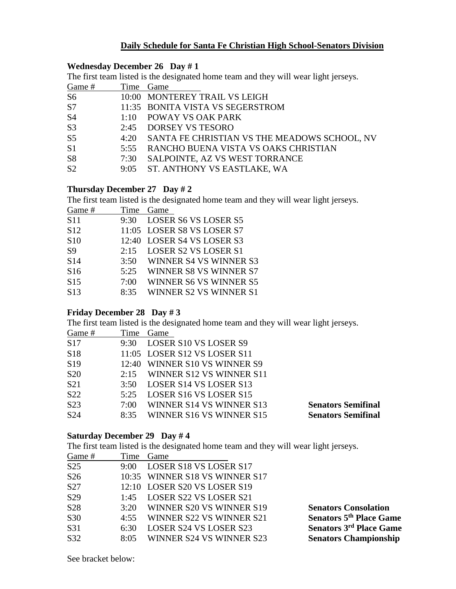# **Daily Schedule for Santa Fe Christian High School-Senators Division**

### **Wednesday December 26 Day # 1**

The first team listed is the designated home team and they will wear light jerseys.

| Game #         |      | Time Game                                         |
|----------------|------|---------------------------------------------------|
| S <sub>6</sub> |      | 10:00 MONTEREY TRAIL VS LEIGH                     |
| S7             |      | 11:35 BONITA VISTA VS SEGERSTROM                  |
| S <sub>4</sub> | 1:10 | POWAY VS OAK PARK                                 |
| S <sub>3</sub> | 2:45 | DORSEY VS TESORO                                  |
| S <sub>5</sub> |      | 4:20 SANTA FE CHRISTIAN VS THE MEADOWS SCHOOL, NV |
| S <sub>1</sub> |      | 5:55 RANCHO BUENA VISTA VS OAKS CHRISTIAN         |
| S <sub>8</sub> | 7:30 | SALPOINTE, AZ VS WEST TORRANCE                    |
| S <sub>2</sub> |      | 9:05 ST. ANTHONY VS EASTLAKE, WA                  |

## **Thursday December 27 Day # 2**

The first team listed is the designated home team and they will wear light jerseys.

| Game #          | Time  | Game                        |
|-----------------|-------|-----------------------------|
| <b>S11</b>      | 9:30  | <b>LOSER S6 VS LOSER S5</b> |
| S <sub>12</sub> |       | 11:05 LOSER S8 VS LOSER S7  |
| <b>S10</b>      | 12:40 | LOSER S4 VS LOSER S3        |
| <b>S9</b>       | 2:15  | <b>LOSER S2 VS LOSER S1</b> |
| S <sub>14</sub> | 3:50  | WINNER S4 VS WINNER S3      |
| S16             | 5:25  | WINNER S8 VS WINNER S7      |
| S15             | 7:00  | WINNER S6 VS WINNER S5      |
| S <sub>13</sub> | 8:35  | WINNER S2 VS WINNER S1      |
|                 |       |                             |

## **Friday December 28 Day # 3**

The first team listed is the designated home team and they will wear light jerseys.

| Time | Game                     |                                                                                                                                                   |
|------|--------------------------|---------------------------------------------------------------------------------------------------------------------------------------------------|
| 9:30 |                          |                                                                                                                                                   |
|      |                          |                                                                                                                                                   |
|      |                          |                                                                                                                                                   |
| 2:15 | WINNER S12 VS WINNER S11 |                                                                                                                                                   |
| 3:50 |                          |                                                                                                                                                   |
| 5:25 |                          |                                                                                                                                                   |
| 7:00 | WINNER S14 VS WINNER S13 | <b>Senators Semifinal</b>                                                                                                                         |
| 8:35 | WINNER S16 VS WINNER S15 | <b>Senators Semifinal</b>                                                                                                                         |
|      |                          | LOSER S10 VS LOSER S9<br>11:05 LOSER S12 VS LOSER S11<br>12:40 WINNER S10 VS WINNER S9<br>LOSER S14 VS LOSER S13<br><b>LOSER S16 VS LOSER S15</b> |

### **Saturday December 29 Day # 4**

The first team listed is the designated home team and they will wear light jerseys.

| Game #          | Time | Game                           |                                |
|-----------------|------|--------------------------------|--------------------------------|
| S <sub>25</sub> | 9:00 | <b>LOSER S18 VS LOSER S17</b>  |                                |
| S <sub>26</sub> |      | 10:35 WINNER S18 VS WINNER S17 |                                |
| S <sub>27</sub> |      | 12:10 LOSER S20 VS LOSER S19   |                                |
| S <sub>29</sub> | 1:45 | LOSER S22 VS LOSER S21         |                                |
| S <sub>28</sub> | 3:20 | WINNER S20 VS WINNER S19       | <b>Senators Consolation</b>    |
| S30             | 4:55 | WINNER S22 VS WINNER S21       | <b>Senators 5th Place Game</b> |
| S31             | 6:30 | LOSER S24 VS LOSER S23         | <b>Senators 3rd Place Game</b> |
| S32             | 8:05 | WINNER S24 VS WINNER S23       | <b>Senators Championship</b>   |
|                 |      |                                |                                |

See bracket below: